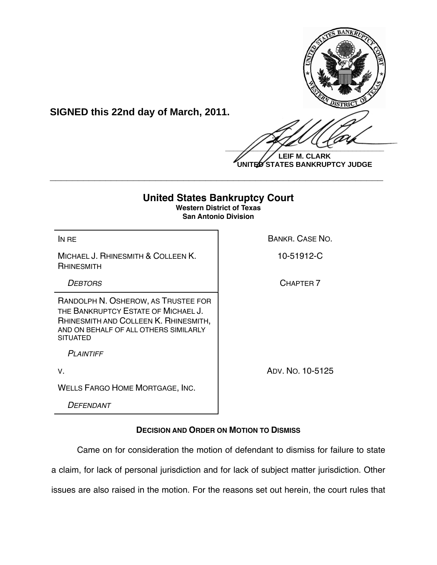

**LEIF M. CLARK UNITED STATES BANKRUPTCY JUDGE**

# **United States Bankruptcy Court Western District of Texas San Antonio Division** IN RE BANKR. CASE NO. MICHAEL J. RHINESMITH & COLLEEN K. RHINESMITH 10-51912-C **DEBTORS** CHAPTER 7 RANDOLPH N. OSHEROW, AS TRUSTEE FOR THE BANKRUPTCY ESTATE OF MICHAEL J. RHINESMITH AND COLLEEN K. RHINESMITH, AND ON BEHALF OF ALL OTHERS SIMILARLY **SITUATED**  *PLAINTIFF* V. ADV. NO. 10-5125 WELLS FARGO HOME MORTGAGE, INC.

**\_\_\_\_\_\_\_\_\_\_\_\_\_\_\_\_\_\_\_\_\_\_\_\_\_\_\_\_\_\_\_\_\_\_\_\_\_\_\_\_\_\_\_\_\_\_\_\_\_\_\_\_\_\_\_\_\_\_\_\_**

**SIGNED this 22nd day of March, 2011.**

*DEFENDANT*

## **DECISION AND ORDER ON MOTION TO DISMISS**

Came on for consideration the motion of defendant to dismiss for failure to state a claim, for lack of personal jurisdiction and for lack of subject matter jurisdiction. Other issues are also raised in the motion. For the reasons set out herein, the court rules that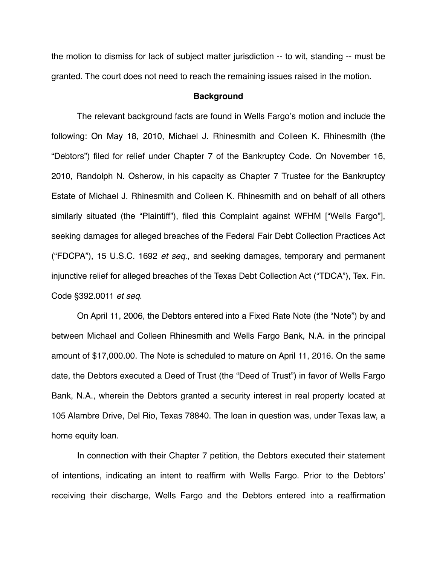the motion to dismiss for lack of subject matter jurisdiction -- to wit, standing -- must be granted. The court does not need to reach the remaining issues raised in the motion.

#### **Background**

The relevant background facts are found in Wells Fargo's motion and include the following: On May 18, 2010, Michael J. Rhinesmith and Colleen K. Rhinesmith (the "Debtors") filed for relief under Chapter 7 of the Bankruptcy Code. On November 16, 2010, Randolph N. Osherow, in his capacity as Chapter 7 Trustee for the Bankruptcy Estate of Michael J. Rhinesmith and Colleen K. Rhinesmith and on behalf of all others similarly situated (the "Plaintiff"), filed this Complaint against WFHM ["Wells Fargo"], seeking damages for alleged breaches of the Federal Fair Debt Collection Practices Act ("FDCPA"), 15 U.S.C. 1692 *et seq*., and seeking damages, temporary and permanent injunctive relief for alleged breaches of the Texas Debt Collection Act ("TDCA"), Tex. Fin. Code §392.0011 *et seq*.

On April 11, 2006, the Debtors entered into a Fixed Rate Note (the "Note") by and between Michael and Colleen Rhinesmith and Wells Fargo Bank, N.A. in the principal amount of \$17,000.00. The Note is scheduled to mature on April 11, 2016. On the same date, the Debtors executed a Deed of Trust (the "Deed of Trust") in favor of Wells Fargo Bank, N.A., wherein the Debtors granted a security interest in real property located at 105 Alambre Drive, Del Rio, Texas 78840. The loan in question was, under Texas law, a home equity loan.

In connection with their Chapter 7 petition, the Debtors executed their statement of intentions, indicating an intent to reaffirm with Wells Fargo. Prior to the Debtors' receiving their discharge, Wells Fargo and the Debtors entered into a reaffirmation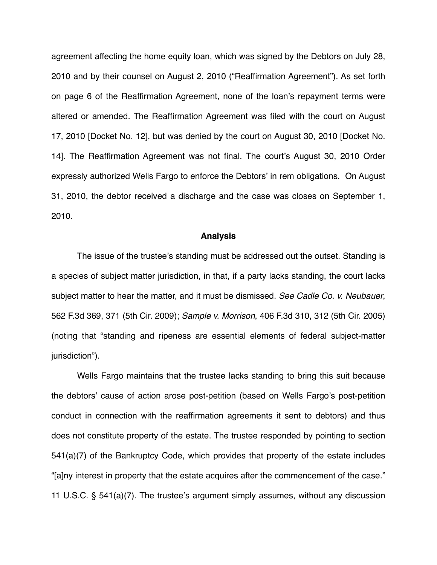agreement affecting the home equity loan, which was signed by the Debtors on July 28, 2010 and by their counsel on August 2, 2010 ("Reaffirmation Agreement"). As set forth on page 6 of the Reaffirmation Agreement, none of the loan's repayment terms were altered or amended. The Reaffirmation Agreement was filed with the court on August 17, 2010 [Docket No. 12], but was denied by the court on August 30, 2010 [Docket No. 14]. The Reaffirmation Agreement was not final. The court's August 30, 2010 Order expressly authorized Wells Fargo to enforce the Debtors' in rem obligations. On August 31, 2010, the debtor received a discharge and the case was closes on September 1, 2010.

### **Analysis**

The issue of the trustee's standing must be addressed out the outset. Standing is a species of subject matter jurisdiction, in that, if a party lacks standing, the court lacks subject matter to hear the matter, and it must be dismissed. *See Cadle Co. v. Neubauer*, 562 F.3d 369, 371 (5th Cir. 2009); *Sample v. Morrison*, 406 F.3d 310, 312 (5th Cir. 2005) (noting that "standing and ripeness are essential elements of federal subject-matter jurisdiction").

Wells Fargo maintains that the trustee lacks standing to bring this suit because the debtors' cause of action arose post-petition (based on Wells Fargo's post-petition conduct in connection with the reaffirmation agreements it sent to debtors) and thus does not constitute property of the estate. The trustee responded by pointing to section 541(a)(7) of the Bankruptcy Code, which provides that property of the estate includes "[a]ny interest in property that the estate acquires after the commencement of the case." 11 U.S.C. § 541(a)(7). The trustee's argument simply assumes, without any discussion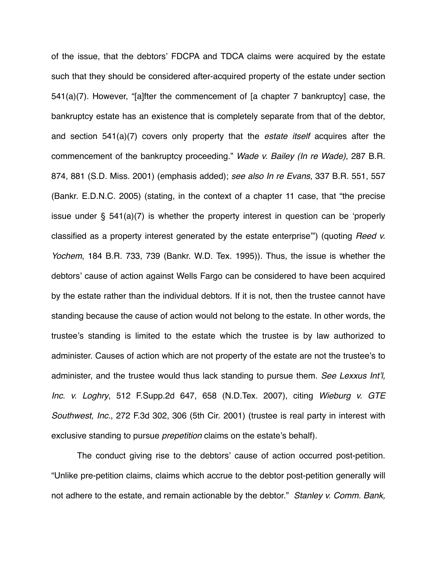of the issue, that the debtors' FDCPA and TDCA claims were acquired by the estate such that they should be considered after-acquired property of the estate under section 541(a)(7). However, "[a]fter the commencement of [a chapter 7 bankruptcy] case, the bankruptcy estate has an existence that is completely separate from that of the debtor, and section 541(a)(7) covers only property that the *estate itself* acquires after the commencement of the bankruptcy proceeding." *Wade v. Bailey (In re Wade)*, 287 B.R. 874, 881 (S.D. Miss. 2001) (emphasis added); *see also In re Evans*, 337 B.R. 551, 557 (Bankr. E.D.N.C. 2005) (stating, in the context of a chapter 11 case, that "the precise issue under  $\frac{6}{5}$  541(a)(7) is whether the property interest in question can be 'properly classified as a property interest generated by the estate enterprise'") (quoting *Reed v. Yochem*, 184 B.R. 733, 739 (Bankr. W.D. Tex. 1995)). Thus, the issue is whether the debtors' cause of action against Wells Fargo can be considered to have been acquired by the estate rather than the individual debtors. If it is not, then the trustee cannot have standing because the cause of action would not belong to the estate. In other words, the trustee's standing is limited to the estate which the trustee is by law authorized to administer. Causes of action which are not property of the estate are not the trustee's to administer, and the trustee would thus lack standing to pursue them. *See Lexxus Int*'*l, Inc. v. Loghry*, 512 F.Supp.2d 647, 658 (N.D.Tex. 2007), citing *Wieburg v. GTE Southwest, Inc.*, 272 F.3d 302, 306 (5th Cir. 2001) (trustee is real party in interest with exclusive standing to pursue *prepetition* claims on the estate's behalf).

The conduct giving rise to the debtors' cause of action occurred post-petition. "Unlike pre-petition claims, claims which accrue to the debtor post-petition generally will not adhere to the estate, and remain actionable by the debtor." *Stanley v. Comm. Bank,*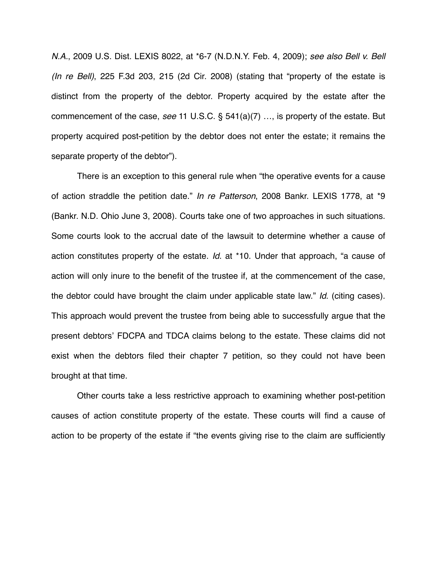*N.A.*, 2009 U.S. Dist. LEXIS 8022, at \*6-7 (N.D.N.Y. Feb. 4, 2009); *see also Bell v. Bell (In re Bell)*, 225 F.3d 203, 215 (2d Cir. 2008) (stating that "property of the estate is distinct from the property of the debtor. Property acquired by the estate after the commencement of the case, *see* 11 U.S.C. § 541(a)(7) …, is property of the estate. But property acquired post-petition by the debtor does not enter the estate; it remains the separate property of the debtor").

There is an exception to this general rule when "the operative events for a cause of action straddle the petition date." *In re Patterson*, 2008 Bankr. LEXIS 1778, at \*9 (Bankr. N.D. Ohio June 3, 2008). Courts take one of two approaches in such situations. Some courts look to the accrual date of the lawsuit to determine whether a cause of action constitutes property of the estate. *Id*. at \*10. Under that approach, "a cause of action will only inure to the benefit of the trustee if, at the commencement of the case, the debtor could have brought the claim under applicable state law." *Id*. (citing cases). This approach would prevent the trustee from being able to successfully argue that the present debtors' FDCPA and TDCA claims belong to the estate. These claims did not exist when the debtors filed their chapter 7 petition, so they could not have been brought at that time.

Other courts take a less restrictive approach to examining whether post-petition causes of action constitute property of the estate. These courts will find a cause of action to be property of the estate if "the events giving rise to the claim are sufficiently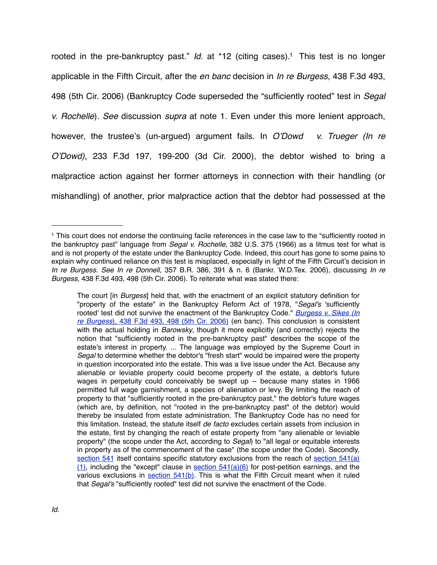rooted in the pre-bankruptcy past." *Id*. at \*12 (citing cases). [1](#page-5-0) This test is no longer applicable in the Fifth Circuit, after the *en banc* decision in *In re Burgess,* 438 F.3d 493, 498 (5th Cir. 2006) (Bankruptcy Code superseded the "sufficiently rooted" test in *Segal v. Rochelle*)*. See* discussion *supra* at note 1. Even under this more lenient approach, however, the trustee's (un-argued) argument fails. In *O*'*Dowd v. Trueger (In re O*'*Dowd)*, 233 F.3d 197, 199-200 (3d Cir. 2000), the debtor wished to bring a malpractice action against her former attorneys in connection with their handling (or mishandling) of another, prior malpractice action that the debtor had possessed at the

<span id="page-5-0"></span><sup>1</sup> This court does not endorse the continuing facile references in the case law to the "sufficiently rooted in the bankruptcy past" language from *Segal v. Rochelle,* 382 U.S. 375 (1966) as a litmus test for what is and is not property of the estate under the Bankruptcy Code. Indeed, this court has gone to some pains to explain why continued reliance on this test is misplaced, especially in light of the Fifth Circuit's decision in *In re Burgess*. *See In re Donnell*, 357 B.R. 386, 391 & n. 6 (Bankr. W.D.Tex. 2006), discussing *In re Burgess*, 438 F.3d 493, 498 (5th Cir. 2006). To reiterate what was stated there:

The court [in *Burgess*] held that, with the enactment of an explicit statutory definition for "property of the estate" in the Bankruptcy Reform Act of 1978, "*Segal's* 'sufficiently rooted' test did not survive the enactment of the Bankruptcy Code." *[Burgess v. Sikes \(In](https://www.lexis.com/research/buttonTFLink?_m=41167f08545572f6172b9038ca1a48a4&_xfercite=%3ccite%20cc%3d%22USA%22%3e%3c%21%5bCDATA%5b357%20B.R.%20386%5d%5d%3e%3c%2fcite%3e&_butType=3&_butStat=2&_butNum=71&_butInline=1&_butinfo=%3ccite%20cc%3d%22USA%22%3e%3c%21%5bCDATA%5b438%20F.3d%20493%2c%20498%5d%5d%3e%3c%2fcite%3e&_fmtstr=FULL&docnum=1&_startdoc=1&wchp=dGLbVzz-zSkAb&_md5=d81c8c4d917db76563d8f26bd6d244b3) re Burgess*[\), 438 F.3d 493, 498 \(5th Cir. 2006\)](https://www.lexis.com/research/buttonTFLink?_m=41167f08545572f6172b9038ca1a48a4&_xfercite=%3ccite%20cc%3d%22USA%22%3e%3c%21%5bCDATA%5b357%20B.R.%20386%5d%5d%3e%3c%2fcite%3e&_butType=3&_butStat=2&_butNum=71&_butInline=1&_butinfo=%3ccite%20cc%3d%22USA%22%3e%3c%21%5bCDATA%5b438%20F.3d%20493%2c%20498%5d%5d%3e%3c%2fcite%3e&_fmtstr=FULL&docnum=1&_startdoc=1&wchp=dGLbVzz-zSkAb&_md5=d81c8c4d917db76563d8f26bd6d244b3) (en banc). This conclusion is consistent with the actual holding in *Barowsky*, though it more explicitly (and correctly) rejects the notion that "sufficiently rooted in the pre-bankruptcy past" describes the scope of the estate's interest in property. ... The language was employed by the Supreme Court in *Segal* to determine whether the debtor's "fresh start" would be impaired were the property in question incorporated into the estate. This was a live issue under the Act. Because any alienable or leviable property could become property of the estate, a debtor's future wages in perpetuity could conceivably be swept up -- because many states in 1966 permitted full wage garnishment, a species of alienation or levy. By limiting the reach of property to that "sufficiently rooted in the pre-bankruptcy past," the debtor's future wages (which are, by definition, not "rooted in the pre-bankruptcy past" of the debtor) would thereby be insulated from estate administration. The Bankruptcy Code has no need for this limitation. Instead, the statute itself *de facto* excludes certain assets from inclusion in the estate, first by changing the reach of estate property from "any alienable or leviable property" (the scope under the Act, according to *Segal*) to "all legal or equitable interests in property as of the commencement of the case" (the scope under the Code). Secondly, [section 541](https://www.lexis.com/research/buttonTFLink?_m=41167f08545572f6172b9038ca1a48a4&_xfercite=%3ccite%20cc%3d%22USA%22%3e%3c%21%5bCDATA%5b357%20B.R.%20386%5d%5d%3e%3c%2fcite%3e&_butType=4&_butStat=0&_butNum=72&_butInline=1&_butinfo=11%20U.S.C.%20541&_fmtstr=FULL&docnum=1&_startdoc=1&wchp=dGLbVzz-zSkAb&_md5=0703c09fae97a4b1ac0fd3025f7d6801) itself contains specific statutory exclusions from the reach of [section 541\(a\)](https://www.lexis.com/research/buttonTFLink?_m=41167f08545572f6172b9038ca1a48a4&_xfercite=%3ccite%20cc%3d%22USA%22%3e%3c%21%5bCDATA%5b357%20B.R.%20386%5d%5d%3e%3c%2fcite%3e&_butType=4&_butStat=0&_butNum=73&_butInline=1&_butinfo=11%20U.S.C.%20541&_fmtstr=FULL&docnum=1&_startdoc=1&wchp=dGLbVzz-zSkAb&_md5=afe3c3f41e1ef447ef2803967702db70)  $(1)$ , including the "except" clause in section  $541(a)(6)$  for post-petition earnings, and the various exclusions in [section 541\(b\).](https://www.lexis.com/research/buttonTFLink?_m=41167f08545572f6172b9038ca1a48a4&_xfercite=%3ccite%20cc%3d%22USA%22%3e%3c%21%5bCDATA%5b357%20B.R.%20386%5d%5d%3e%3c%2fcite%3e&_butType=4&_butStat=0&_butNum=75&_butInline=1&_butinfo=11%20U.S.C.%20541&_fmtstr=FULL&docnum=1&_startdoc=1&wchp=dGLbVzz-zSkAb&_md5=97e4eecc3311bc0b30cd7ddda11f42f3) This is what the Fifth Circuit meant when it ruled that *Segal's* "sufficiently rooted" test did not survive the enactment of the Code.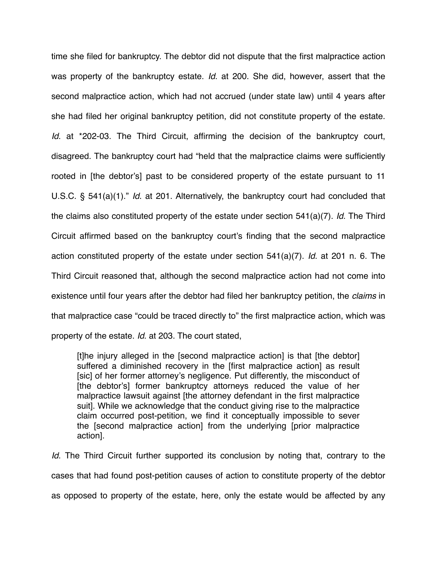time she filed for bankruptcy. The debtor did not dispute that the first malpractice action was property of the bankruptcy estate. *Id*. at 200. She did, however, assert that the second malpractice action, which had not accrued (under state law) until 4 years after she had filed her original bankruptcy petition, did not constitute property of the estate. *Id*. at \*202-03. The Third Circuit, affirming the decision of the bankruptcy court, disagreed. The bankruptcy court had "held that the malpractice claims were sufficiently rooted in [the debtor's] past to be considered property of the estate pursuant to 11 U.S.C. § 541(a)(1)." *Id*. at 201. Alternatively, the bankruptcy court had concluded that the claims also constituted property of the estate under section 541(a)(7). *Id*. The Third Circuit affirmed based on the bankruptcy court's finding that the second malpractice action constituted property of the estate under section 541(a)(7). *Id*. at 201 n. 6. The Third Circuit reasoned that, although the second malpractice action had not come into existence until four years after the debtor had filed her bankruptcy petition, the *claims* in that malpractice case "could be traced directly to" the first malpractice action, which was property of the estate. *Id*. at 203. The court stated,

[t]he injury alleged in the [second malpractice action] is that [the debtor] suffered a diminished recovery in the [first malpractice action] as result [sic] of her former attorney's negligence. Put differently, the misconduct of [the debtor's] former bankruptcy attorneys reduced the value of her malpractice lawsuit against [the attorney defendant in the first malpractice suit]. While we acknowledge that the conduct giving rise to the malpractice claim occurred post-petition, we find it conceptually impossible to sever the [second malpractice action] from the underlying [prior malpractice action].

*Id*. The Third Circuit further supported its conclusion by noting that, contrary to the cases that had found post-petition causes of action to constitute property of the debtor as opposed to property of the estate, here, only the estate would be affected by any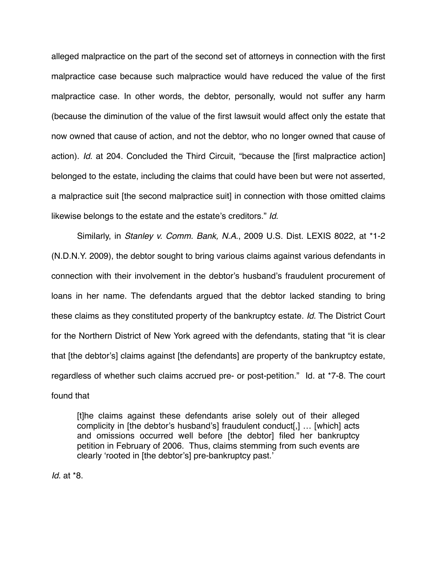alleged malpractice on the part of the second set of attorneys in connection with the first malpractice case because such malpractice would have reduced the value of the first malpractice case. In other words, the debtor, personally, would not suffer any harm (because the diminution of the value of the first lawsuit would affect only the estate that now owned that cause of action, and not the debtor, who no longer owned that cause of action). *Id*. at 204. Concluded the Third Circuit, "because the [first malpractice action] belonged to the estate, including the claims that could have been but were not asserted, a malpractice suit [the second malpractice suit] in connection with those omitted claims likewise belongs to the estate and the estate's creditors." *Id*.

Similarly, in *Stanley v. Comm. Bank, N.A*., 2009 U.S. Dist. LEXIS 8022, at \*1-2 (N.D.N.Y. 2009), the debtor sought to bring various claims against various defendants in connection with their involvement in the debtor's husband's fraudulent procurement of loans in her name. The defendants argued that the debtor lacked standing to bring these claims as they constituted property of the bankruptcy estate. *Id*. The District Court for the Northern District of New York agreed with the defendants, stating that "it is clear that [the debtor's] claims against [the defendants] are property of the bankruptcy estate, regardless of whether such claims accrued pre- or post-petition." Id. at \*7-8. The court found that

[t]he claims against these defendants arise solely out of their alleged complicity in [the debtor's husband's] fraudulent conduct[,] … [which] acts and omissions occurred well before [the debtor] filed her bankruptcy petition in February of 2006. Thus, claims stemming from such events are clearly ʻrooted in [the debtor's] pre-bankruptcy past.'

*Id*. at \*8.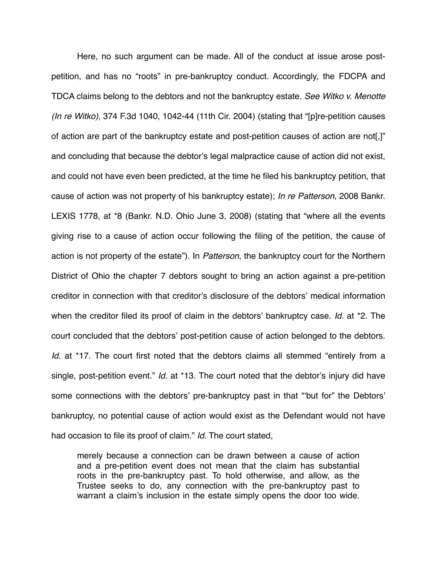Here, no such argument can be made. All of the conduct at issue arose postpetition, and has no "roots" in pre-bankruptcy conduct. Accordingly, the FDCPA and TDCA claims belong to the debtors and not the bankruptcy estate. *See Witko v. Menotte (In re Witko)*, 374 F.3d 1040, 1042-44 (11th Cir. 2004) (stating that "[p]re-petition causes of action are part of the bankruptcy estate and post-petition causes of action are not[,]" and concluding that because the debtor's legal malpractice cause of action did not exist, and could not have even been predicted, at the time he filed his bankruptcy petition, that cause of action was not property of his bankruptcy estate); *In re Patterson*, 2008 Bankr. LEXIS 1778, at \*8 (Bankr. N.D. Ohio June 3, 2008) (stating that "where all the events giving rise to a cause of action occur following the filing of the petition, the cause of action is not property of the estate"). In *Patterson*, the bankruptcy court for the Northern District of Ohio the chapter 7 debtors sought to bring an action against a pre-petition creditor in connection with that creditor's disclosure of the debtors' medical information when the creditor filed its proof of claim in the debtors' bankruptcy case. *Id*. at \*2. The court concluded that the debtors' post-petition cause of action belonged to the debtors. *Id*. at \*17. The court first noted that the debtors claims all stemmed "entirely from a single, post-petition event." *Id*. at \*13. The court noted that the debtor's injury did have some connections with the debtors' pre-bankruptcy past in that "ʻbut for" the Debtors' bankruptcy, no potential cause of action would exist as the Defendant would not have had occasion to file its proof of claim." *Id*. The court stated,

merely because a connection can be drawn between a cause of action and a pre-petition event does not mean that the claim has substantial roots in the pre-bankruptcy past. To hold otherwise, and allow, as the Trustee seeks to do, any connection with the pre-bankruptcy past to warrant a claim's inclusion in the estate simply opens the door too wide.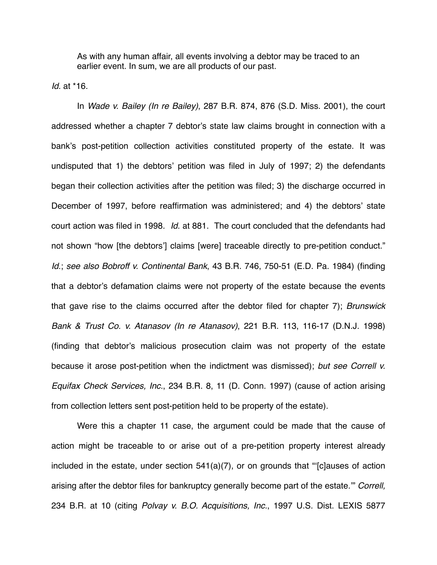As with any human affair, all events involving a debtor may be traced to an earlier event. In sum, we are all products of our past.

*Id*. at \*16.

In *Wade v. Bailey (In re Bailey)*, 287 B.R. 874, 876 (S.D. Miss. 2001), the court addressed whether a chapter 7 debtor's state law claims brought in connection with a bank's post-petition collection activities constituted property of the estate. It was undisputed that 1) the debtors' petition was filed in July of 1997; 2) the defendants began their collection activities after the petition was filed; 3) the discharge occurred in December of 1997, before reaffirmation was administered; and 4) the debtors' state court action was filed in 1998. *Id*. at 881. The court concluded that the defendants had not shown "how [the debtors'] claims [were] traceable directly to pre-petition conduct." *Id*.; *see also Bobroff v. Continental Bank*, 43 B.R. 746, 750-51 (E.D. Pa. 1984) (finding that a debtor's defamation claims were not property of the estate because the events that gave rise to the claims occurred after the debtor filed for chapter 7); *Brunswick Bank & Trust Co. v. Atanasov (In re Atanasov)*, 221 B.R. 113, 116-17 (D.N.J. 1998) (finding that debtor's malicious prosecution claim was not property of the estate because it arose post-petition when the indictment was dismissed); *but see Correll v. Equifax Check Services, Inc.*, 234 B.R. 8, 11 (D. Conn. 1997) (cause of action arising from collection letters sent post-petition held to be property of the estate).

Were this a chapter 11 case, the argument could be made that the cause of action might be traceable to or arise out of a pre-petition property interest already included in the estate, under section 541(a)(7), or on grounds that "ʻ[c]auses of action arising after the debtor files for bankruptcy generally become part of the estate.'" *Correll,*  234 B.R. at 10 (citing *Polvay v. B.O. Acquisitions, Inc.*, 1997 U.S. Dist. LEXIS 5877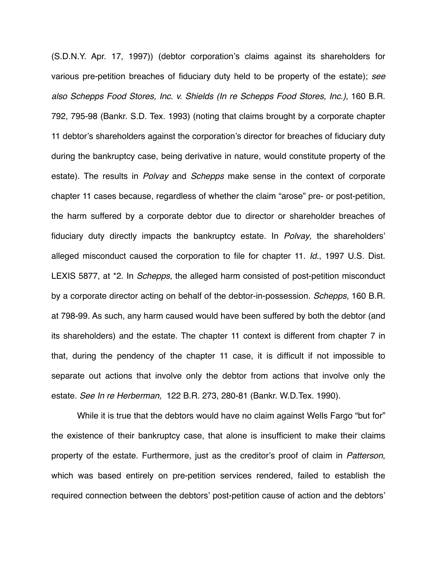(S.D.N.Y. Apr. 17, 1997)) (debtor corporation's claims against its shareholders for various pre-petition breaches of fiduciary duty held to be property of the estate); *see also Schepps Food Stores, Inc. v. Shields (In re Schepps Food Stores, Inc.)*, 160 B.R. 792, 795-98 (Bankr. S.D. Tex. 1993) (noting that claims brought by a corporate chapter 11 debtor's shareholders against the corporation's director for breaches of fiduciary duty during the bankruptcy case, being derivative in nature, would constitute property of the estate). The results in *Polvay* and *Schepps* make sense in the context of corporate chapter 11 cases because, regardless of whether the claim "arose" pre- or post-petition, the harm suffered by a corporate debtor due to director or shareholder breaches of fiduciary duty directly impacts the bankruptcy estate. In *Polvay*, the shareholders' alleged misconduct caused the corporation to file for chapter 11. *Id.*, 1997 U.S. Dist. LEXIS 5877, at \*2. In *Schepps*, the alleged harm consisted of post-petition misconduct by a corporate director acting on behalf of the debtor-in-possession. *Schepps,* 160 B.R. at 798-99. As such, any harm caused would have been suffered by both the debtor (and its shareholders) and the estate. The chapter 11 context is different from chapter 7 in that, during the pendency of the chapter 11 case, it is difficult if not impossible to separate out actions that involve only the debtor from actions that involve only the estate. *See In re Herberman,* 122 B.R. 273, 280-81 (Bankr. W.D.Tex. 1990).

While it is true that the debtors would have no claim against Wells Fargo "but for" the existence of their bankruptcy case, that alone is insufficient to make their claims property of the estate. Furthermore, just as the creditor's proof of claim in *Patterson*, which was based entirely on pre-petition services rendered, failed to establish the required connection between the debtors' post-petition cause of action and the debtors'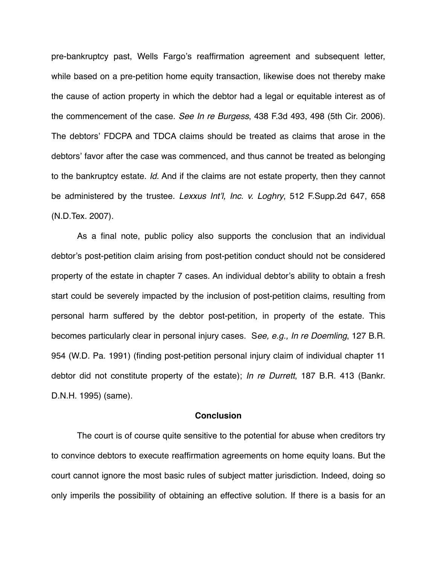pre-bankruptcy past, Wells Fargo's reaffirmation agreement and subsequent letter, while based on a pre-petition home equity transaction, likewise does not thereby make the cause of action property in which the debtor had a legal or equitable interest as of the commencement of the case. *See In re Burgess*, 438 F.3d 493, 498 (5th Cir. 2006). The debtors' FDCPA and TDCA claims should be treated as claims that arose in the debtors' favor after the case was commenced, and thus cannot be treated as belonging to the bankruptcy estate. *Id.* And if the claims are not estate property, then they cannot be administered by the trustee. *Lexxus Int*'*l, Inc. v. Loghry*, 512 F.Supp.2d 647, 658 (N.D.Tex. 2007).

As a final note, public policy also supports the conclusion that an individual debtor's post-petition claim arising from post-petition conduct should not be considered property of the estate in chapter 7 cases. An individual debtor's ability to obtain a fresh start could be severely impacted by the inclusion of post-petition claims, resulting from personal harm suffered by the debtor post-petition, in property of the estate. This becomes particularly clear in personal injury cases. S*ee, e.g., In re Doemling*, 127 B.R. 954 (W.D. Pa. 1991) (finding post-petition personal injury claim of individual chapter 11 debtor did not constitute property of the estate); *In re Durrett*, 187 B.R. 413 (Bankr. D.N.H. 1995) (same).

#### **Conclusion**

The court is of course quite sensitive to the potential for abuse when creditors try to convince debtors to execute reaffirmation agreements on home equity loans. But the court cannot ignore the most basic rules of subject matter jurisdiction. Indeed, doing so only imperils the possibility of obtaining an effective solution. If there is a basis for an